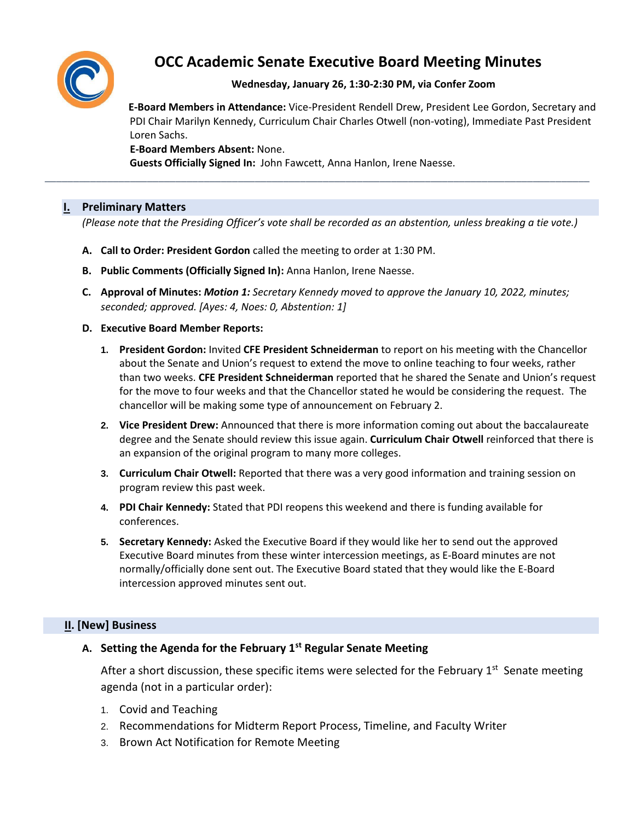

# **OCC Academic Senate Executive Board Meeting Minutes**

## **Wednesday, January 26, 1:30-2:30 PM, via Confer Zoom**

 **E-Board Members in Attendance:** Vice-President Rendell Drew, President Lee Gordon, Secretary and PDI Chair Marilyn Kennedy, Curriculum Chair Charles Otwell (non-voting), Immediate Past President Loren Sachs.

 **E-Board Members Absent:** None.

**Guests Officially Signed In:** John Fawcett, Anna Hanlon, Irene Naesse.

## **I. Preliminary Matters**

*(Please note that the Presiding Officer's vote shall be recorded as an abstention, unless breaking a tie vote.)*

\_\_\_\_\_\_\_\_\_\_\_\_\_\_\_\_\_\_\_\_\_\_\_\_\_\_\_\_\_\_\_\_\_\_\_\_\_\_\_\_\_\_\_\_\_\_\_\_\_\_\_\_\_\_\_\_\_\_\_\_\_\_\_\_\_\_\_\_\_\_\_\_\_\_\_\_\_\_\_\_\_\_\_\_\_\_\_\_\_\_\_\_\_\_\_\_

- **A. Call to Order: President Gordon** called the meeting to order at 1:30 PM.
- **B. Public Comments (Officially Signed In):** Anna Hanlon, Irene Naesse.
- **C. Approval of Minutes:** *Motion 1: Secretary Kennedy moved to approve the January 10, 2022, minutes; seconded; approved. [Ayes: 4, Noes: 0, Abstention: 1]*
- **D. Executive Board Member Reports:**
	- **1. President Gordon:** Invited **CFE President Schneiderman** to report on his meeting with the Chancellor about the Senate and Union's request to extend the move to online teaching to four weeks, rather than two weeks. **CFE President Schneiderman** reported that he shared the Senate and Union's request for the move to four weeks and that the Chancellor stated he would be considering the request. The chancellor will be making some type of announcement on February 2.
	- **2. Vice President Drew:** Announced that there is more information coming out about the baccalaureate degree and the Senate should review this issue again. **Curriculum Chair Otwell** reinforced that there is an expansion of the original program to many more colleges.
	- **3. Curriculum Chair Otwell:** Reported that there was a very good information and training session on program review this past week.
	- **4. PDI Chair Kennedy:** Stated that PDI reopens this weekend and there is funding available for conferences.
	- **5. Secretary Kennedy:** Asked the Executive Board if they would like her to send out the approved Executive Board minutes from these winter intercession meetings, as E-Board minutes are not normally/officially done sent out. The Executive Board stated that they would like the E-Board intercession approved minutes sent out.

#### **II. [New] Business**

## **A. Setting the Agenda for the February 1st Regular Senate Meeting**

After a short discussion, these specific items were selected for the February  $1<sup>st</sup>$  Senate meeting agenda (not in a particular order):

- 1. Covid and Teaching
- 2. Recommendations for Midterm Report Process, Timeline, and Faculty Writer
- 3. Brown Act Notification for Remote Meeting